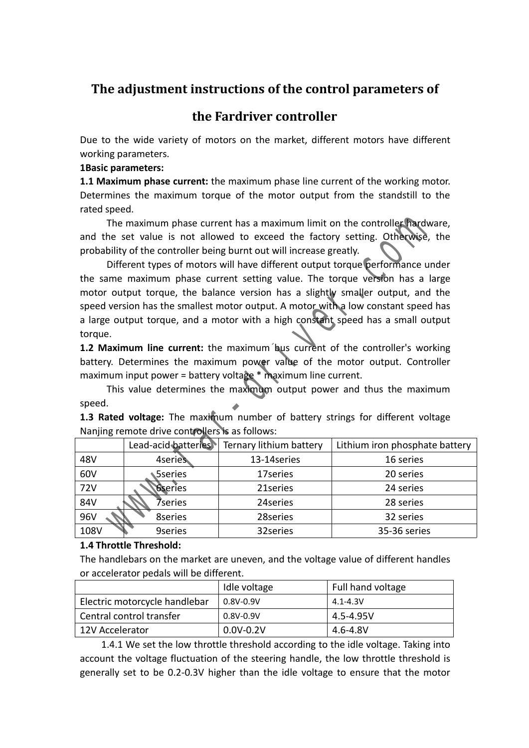# **The adjustment instructions of the control parameters of**

# **the Fardriver controller**

Due to the wide variety of motors on the market, different motors have different working parameters.

## **1Basic parameters:**

**1.1 Maximum phase current:** the maximum phase line current of the working motor. Determines the maximum torque of the motor output from the standstill to the rated speed.

| rated speed.                                                                       |
|------------------------------------------------------------------------------------|
| The maximum phase current has a maximum limit on the controller hardware,          |
| and the set value is not allowed to exceed the factory setting. Otherwise, the     |
| probability of the controller being burnt out will increase greatly.               |
| Different types of motors will have different output torque performance under      |
| the same maximum phase current setting value. The torque version has a large       |
| motor output torque, the balance version has a slightly smaller output, and the    |
| speed version has the smallest motor output. A motor with a low constant speed has |
| a large output torque, and a motor with a high constant speed has a small output   |
| torque.                                                                            |
| 1.2 Maximum line current: the maximum bus current of the controller's working      |
| battery. Determines the maximum power value of the motor output. Controller        |
| maximum input power = battery voltage $*$ maximum line current.                    |
| This value determines the maximum output power and thus the maximum                |
| speed.                                                                             |
| 1.3 Rated voltage: The maximum number of battery strings for different voltage     |
| Nanjing remote drive controllers is as follows:                                    |
| Lead-acid batteries Ternary lithium battery<br>Lithium iron phosphate battery      |
|                                                                                    |
| 48V<br>4series<br>13-14series<br>16 series                                         |
| 60V<br><b>Sseries</b><br>20 series<br>17series                                     |
| 72V<br><b>6series</b><br>21series<br>24 series                                     |
| 84V<br>24 series<br>28 series<br>7series                                           |
| 96V<br>8series<br>28series<br>32 series                                            |

## **1.4 Throttle Threshold:**

The handlebars on the market are uneven, and the voltage value of different handles or accelerator pedals will be different.

|                               | Idle voltage  | Full hand voltage |
|-------------------------------|---------------|-------------------|
| Electric motorcycle handlebar | $0.8V - 0.9V$ | 4.1-4.3V          |
| Central control transfer      | $0.8V - 0.9V$ | 4.5-4.95V         |
| 12V Accelerator               | $0.0V - 0.2V$ | 4.6-4.8V          |

1.4.1 We set the low throttle threshold according to the idle voltage. Taking into account the voltage fluctuation of the steering handle, the low throttle threshold is generally set to be 0.2-0.3V higher than the idle voltage to ensure that the motor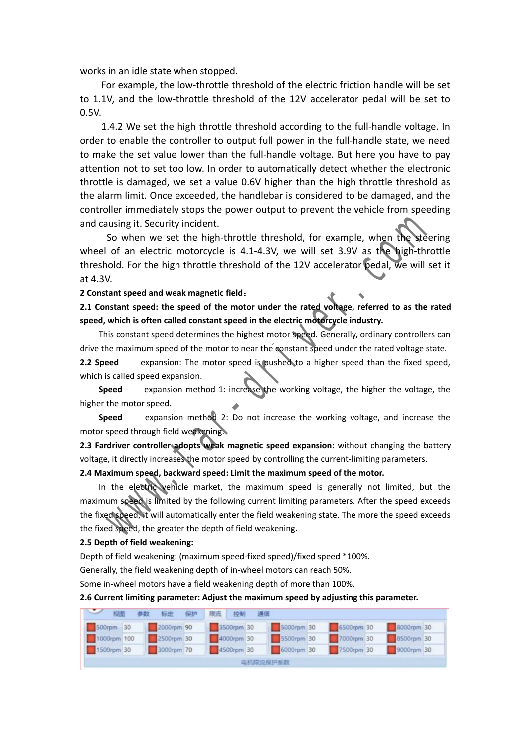works in an idle state when stopped.

For example, the low-throttle threshold of the electric friction handle will be set to 1.1V, and the low-throttle threshold of the 12V accelerator pedal will be set to 0.5V.<br>1.4.2 We set the high throttle threshold according to the full-handle voltage. In

order to enable the controller to output full power in the full-handle state, we need to make the set value lower than the full-handle voltage. But here you have to pay attention not to set too low. In order to automatically detect whether the electronic throttle is damaged, we set a value 0.6V higher than the high throttle threshold as the alarm limit. Once exceeded, the handlebar is considered to be damaged, and the controller immediately stops the power output to prevent the vehicle from speeding

and causing it. Security incident.<br>So when we set the high-throttle threshold, for example, when the steering wheel of an electric motorcycle is 4.1-4.3V, we will set 3.9V as the high-throttle threshold. For the high throttle threshold of the 12V accelerator pedal, we will set it at 4.3V. Iller immediately stops the power output to prevent the vehicle from speed<br>using it. Security incident.<br>So when we set the high-throttle threshold, for example, when the steer<br>of an electric motorcycle is 4.1-4.3V, we will

### **2 Constant speed and weak magnetic field**:

**2.1 Constant speed: the speed of the motor under the rated voltage, referred to as the rated speed, which is often called constant speed in the electric motorcycle industry.**

This constant speed determines the highest motor speed. Generally, ordinary controllers can drive the maximum speed of the motor to near the constant speed under the rated voltage state. **2.2 Speed** expansion: The motor speed is pushed to a higher speed than the fixed speed, which is called speed expansion.

**Speed** expansion method 1: increase the working voltage, the higher the voltage, the higher the motor speed.

**Speed** expansion method 2: Do not increase the working voltage, and increase the motor speed through field weakening.

**2.3 Fardriver controller adopts weak magnetic speed expansion:** without changing the battery voltage, it directly increases the motor speed by controlling the current-limiting parameters.

### **2.4 Maximum speed, backward speed:Limit the maximum speed of the motor.**

In the electric vehicle market, the maximum speed is generally not limited, but the maximum speed is limited by the following current limiting parameters. After the speed exceeds the fixed speed, it will automatically enter the field weakening state. The more the speed exceeds the fixed speed, the greater the depth of field weakening.

#### **2.5 Depth of field weakening:**

Depth of field weakening: (maximum speed-fixed speed)/fixed speed \*100%.

Generally, the field weakening depth of in-wheel motors can reach 50%.

Some in-wheel motors have a field weakening depth of more than 100%.

#### **2.6 Current limiting parameter: Adjust the maximum speed byadjusting this parameter.**

| 2 视图 / | 参数 标定 保护 限流 控制 通信      |  |            |          |  |  |                                                        |  |
|--------|------------------------|--|------------|----------|--|--|--------------------------------------------------------|--|
|        | 500rpm 30 2000rpm 90   |  |            |          |  |  | 3500rpm 30 5000rpm 30 5500rpm 30 5500rpm 30 5500rpm 30 |  |
|        | 1000rpm 100 2500rpm 30 |  | 4000rpm 30 |          |  |  | 5500rpm 30 7000rpm 30 8500rpm 30                       |  |
|        | 1500rpm 30 3000rpm 70  |  |            |          |  |  | 4500rpm 30 6000rpm 30 7500rpm 30 45000rpm 30           |  |
|        |                        |  |            | 电机限流保护系数 |  |  |                                                        |  |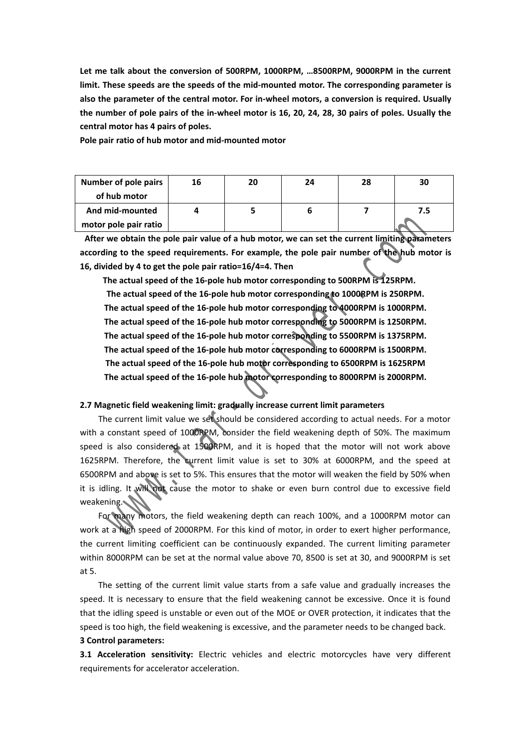**Let me talk about the conversion of 500RPM, 1000RPM, …8500RPM, 9000RPM in the current limit. These speeds are the speeds of the mid-mounted motor. The corresponding parameter is also the parameter of the central motor. For in-wheel motors, a conversion is required. Usually** the number of pole pairs of the in-wheel motor is 16, 20, 24, 28, 30 pairs of poles. Usually the **central motor has 4 pairs of poles.**

**Pole pair ratio of hub motor and mid-mounted motor**

| <b>Number of pole pairs</b> | 16 | 20 | 24 | 28 | 30  |
|-----------------------------|----|----|----|----|-----|
| of hub motor                |    |    |    |    |     |
| And mid-mounted             |    |    |    |    | 7.5 |
| motor pole pair ratio       |    |    |    |    |     |

**After we obtain the pole pair value of a hub motor, we can set the current limiting parameters according to the speed requirements. For example, the pole pair number of the hub motor is 16, divided by 4 to get the pole pair ratio=16/4=4. Then**

**The actual speed of the 16-pole hub motor corresponding to 500RPM is 125RPM.**

**The actual speed of the 16-pole hub motor corresponding to 1000RPM is 250RPM. The actual speed of the 16-pole hub motor corresponding to 4000RPM is 1000RPM. The actual speed of the 16-pole hub motor corresponding to 5000RPM is 1250RPM. The actual speed of the 16-pole hub motor corresponding to 5500RPM is 1375RPM. The actual speed of the 16-pole hub motor corresponding to 6000RPM is 1500RPM. The actual speed of the 16-pole hub motor corresponding to 6500RPM is 1625RPM The actual speed of the 16-pole hub motor corresponding to 8000RPM is 2000RPM.** mid-mounted 4 5 6 7.5<br>
pole pair ratio 4 5 6 17.5<br>
even obtain the pole pair value of a hub motor, we can set the current limiting pearame<br>
ing to the speed requirements. For example, the pole pair number of the Bub moto<br>

## **2.7 Magnetic field weakening limit: gradually increase current limit parameters**

The current limit value we set should be considered according to actual needs. For a motor with a constant speed of 1000RPM, consider the field weakening depth of 50%. The maximum speed is also considered at 1500RPM, and it is hoped that the motor will not work above 1625RPM. Therefore, the current limit value is set to 30% at 6000RPM, and the speed at 6500RPM and above is set to 5%. This ensures that the motor will weaken the field by 50% when it is idling. It will not cause the motor to shake or even burn control due to excessive field weakening.

For many motors, the field weakening depth can reach 100%, and a 1000RPM motor can work at a high speed of 2000RPM. For this kind of motor, in order to exert higher performance, the current limiting coefficient can be continuously expanded. The current limiting parameter within 8000RPM can be set at the normal value above 70, 8500 is set at 30, and 9000RPM is set at 5.

The setting of the current limit value starts from a safe value and gradually increases the speed. It is necessary to ensure that the field weakening cannot be excessive. Once it is found that the idling speed is unstable or even out of the MOE or OVER protection, it indicates that the speed is too high, the field weakening is excessive, and the parameter needs to be changed back. **3 Control parameters:**

**3.1 Acceleration sensitivity:** Electric vehicles and electric motorcycles have very different requirements for accelerator acceleration.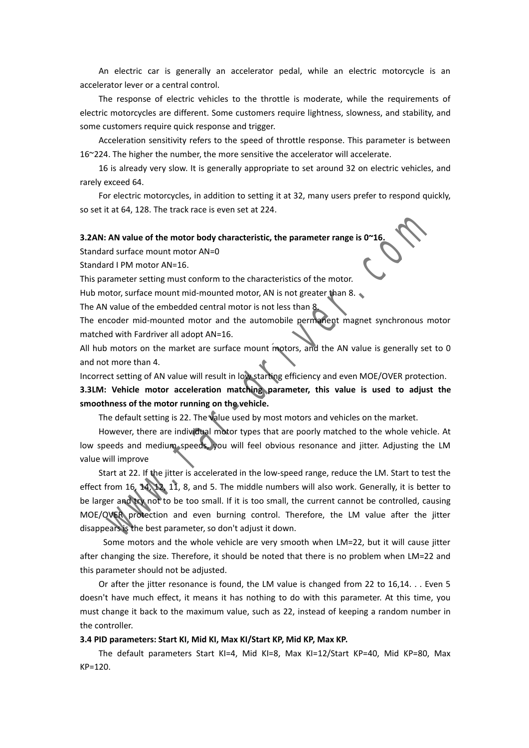An electric car is generally an accelerator pedal, while an electric motorcycle is an accelerator lever or a central control.

The response of electric vehicles to the throttle is moderate, while the requirements of electric motorcycles are different. Some customers require lightness, slowness, and stability, and some customers require quick response and trigger.

Acceleration sensitivity refers to the speed of throttle response. This parameter is between  $16^{\sim}$ 224. The higher the number, the more sensitive the accelerator will accelerate.

16 is already very slow. It is generally appropriate to set around 32 on electric vehicles, and rarely exceed 64.

For electric motorcycles, in addition to setting it at 32, many users prefer to respond quickly, so set it at 64, 128. The track race is even set at 224.

#### **3.2AN: AN value of the motorbody characteristic, the parameter range is 0~16.**

Standard surface mount motor AN=0

Standard I PM motor AN=16.

This parameter setting must conform to the characteristics of the motor.

Hub motor, surface mount mid-mounted motor, AN is not greater than 8.  $\bullet$ 

The AN value of the embedded central motor is not less than 8.

The encoder mid-mounted motor and the automobile permanent magnet synchronous motor matched with Fardriver all adopt AN=16.

All hub motors on the market are surface mount motors, and the AN value is generally set to 0 and not more than 4.

Incorrect setting of AN value will result in low starting efficiency and even MOE/OVER protection.

**3.3LM: Vehicle motor acceleration matching parameter, this value is used to adjust the smoothness of the motorrunning on the vehicle.**

The default setting is 22. The value used by most motors and vehicles on the market.

However, there are individual motor types that are poorly matched to the whole vehicle. At low speeds and medium speeds, you will feel obvious resonance and jitter. Adjusting the LM value will improve

Start at 22. If the jitter is accelerated in the low-speed range, reduce the LM. Start to test the effect from 16, 14, 12, 11, 8, and 5. The middle numbers will also work. Generally, it is better to be larger and try not to be too small. If it is too small, the current cannot be controlled, causing MOE/OVER protection and even burning control. Therefore, the LM value after the jitter disappears is the best parameter, so don't adjust it down. tat 64, 128. The track race is even set at 224.<br>
AN value of the motor body characteristic, the parameter range is 0°16.<br>
In surface mount motor AN=0.<br>
In PM motor AN=16.<br>
In the motor and the motor of AN=16.<br>
In the motor

Some motors and the whole vehicle are very smooth when LM=22, but it will cause jitter after changing the size. Therefore, it should be noted that there is no problem when LM=22 and this parameter should not be adjusted.

Or after the jitter resonance is found, the LM value is changed from 22 to 16,14. . . Even 5 doesn't have much effect, it means it has nothing to do with this parameter. At this time, you must change it back to the maximum value, such as 22, instead of keeping a random number in the controller.

#### **3.4 PID parameters: Start KI, Mid KI, Max KI/Start KP, Mid KP, Max KP.**

The default parameters Start KI=4, Mid KI=8, Max KI=12/Start KP=40, Mid KP=80, Max KP=120.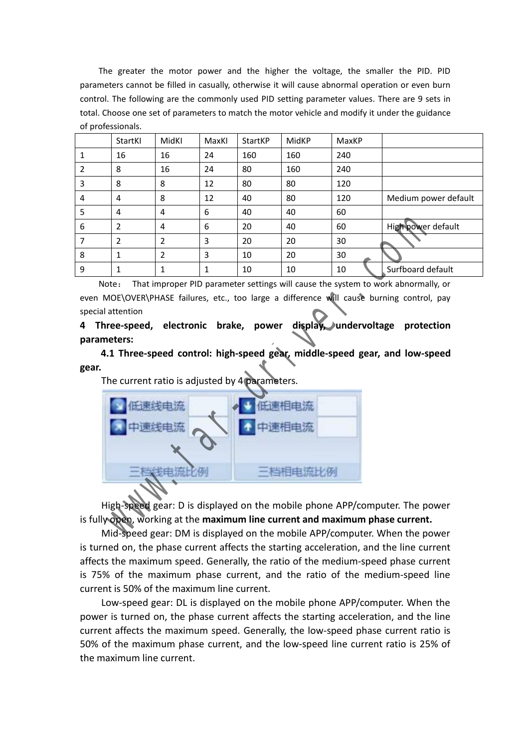The greater the motor power and the higher the voltage, the smaller the PID. PID parameters cannot be filled in casually, otherwise it will cause abnormal operation or even burn control. The following are the commonly used PID setting parameter values. There are 9 sets in total. Choose one set of parameters to match the motor vehicle and modify it under the guidance of professionals.

|   | StartKI        | MidKI | MaxKI | StartKP | MidKP | MaxKP |                      |
|---|----------------|-------|-------|---------|-------|-------|----------------------|
|   | 16             | 16    | 24    | 160     | 160   | 240   |                      |
|   | 8              | 16    | 24    | 80      | 160   | 240   |                      |
| 3 | 8              | 8     | 12    | 80      | 80    | 120   |                      |
| 4 | $\overline{4}$ | 8     | 12    | 40      | 80    | 120   | Medium power default |
| 5 | 4              | 4     | 6     | 40      | 40    | 60    |                      |
| 6 | 2              | 4     | 6     | 20      | 40    | 60    | High power default   |
|   | 2              | າ     | 3     | 20      | 20    | 30    |                      |
| 8 | 1              | 2     | 3     | 10      | 20    | 30    |                      |
| 9 | 1              |       | 1     | 10      | 10    | 10    | Surfboard default    |

Note: That improper PID parameter settings will cause the system to work abnormally, or even MOE\OVER\PHASE failures, etc., too large a difference will cause burning control, pay special attention

**4 Three-speed, electronic brake, power display, undervoltage protection parameters:**

**4.1 Three-speed control: high-speed gear, middle-speed gear, and low-speed gear.**

The current ratio is adjusted by 4 parameters.



High-speed gear: D is displayed on the mobile phone APP/computer. The power is fully open, working at the **maximum line current and maximum phase current.**

Mid-speed gear: DM is displayed onthe mobile APP/computer. When the power is turned on, the phase current affects the starting acceleration, and the line current affects the maximum speed. Generally, the ratio of the medium-speed phase current is 75% of the maximum phase current, and the ratio of the medium-speed line current is 50% of the maximum line current.

Low-speed gear: DL is displayed on the mobile phone APP/computer. When the power is turned on, the phase current affects the starting acceleration, and the line current affects the maximum speed. Generally, the low-speed phase current ratio is 50% of the maximum phase current, and the low-speed line current ratio is 25% of the maximum line current.